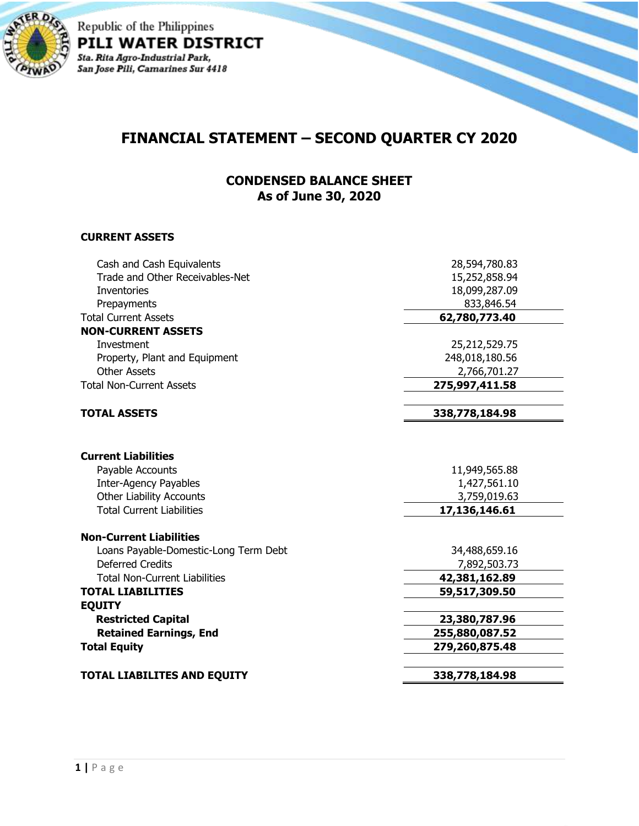

Republic of the Philippines PILI WATER DISTRICT Sta. Rita Agro-Industrial Park,<br>San Jose Pili, Camarines Sur 4418

# **FINANCIAL STATEMENT – SECOND QUARTER CY 2020**

### **CONDENSED BALANCE SHEET As of June 30, 2020**

#### **CURRENT ASSETS**

| Cash and Cash Equivalents             | 28,594,780.83  |
|---------------------------------------|----------------|
| Trade and Other Receivables-Net       | 15,252,858.94  |
| <b>Inventories</b>                    | 18,099,287.09  |
| Prepayments                           | 833,846.54     |
| <b>Total Current Assets</b>           | 62,780,773.40  |
| <b>NON-CURRENT ASSETS</b>             |                |
| Investment                            | 25,212,529.75  |
| Property, Plant and Equipment         | 248,018,180.56 |
| Other Assets                          | 2,766,701.27   |
| <b>Total Non-Current Assets</b>       | 275,997,411.58 |
| <b>TOTAL ASSETS</b>                   | 338,778,184.98 |
|                                       |                |
| <b>Current Liabilities</b>            |                |
| Payable Accounts                      | 11,949,565.88  |
| Inter-Agency Payables                 | 1,427,561.10   |
| <b>Other Liability Accounts</b>       | 3,759,019.63   |
| <b>Total Current Liabilities</b>      | 17,136,146.61  |
| <b>Non-Current Liabilities</b>        |                |
| Loans Payable-Domestic-Long Term Debt | 34,488,659.16  |
| <b>Deferred Credits</b>               | 7,892,503.73   |
| <b>Total Non-Current Liabilities</b>  | 42,381,162.89  |
| <b>TOTAL LIABILITIES</b>              | 59,517,309.50  |
| <b>EQUITY</b>                         |                |
| <b>Restricted Capital</b>             | 23,380,787.96  |
| <b>Retained Earnings, End</b>         | 255,880,087.52 |
| <b>Total Equity</b>                   | 279,260,875.48 |
| <b>TOTAL LIABILITES AND EQUITY</b>    | 338,778,184.98 |
|                                       |                |